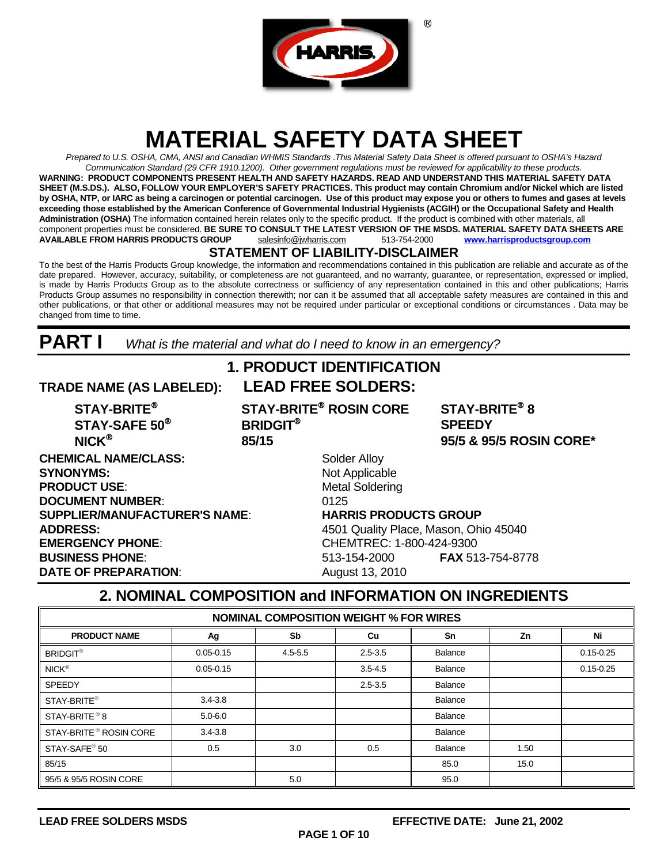

# **MATERIAL SAFETY DATA SHEET**

*Prepared to U.S. OSHA, CMA, ANSI and Canadian WHMIS Standards* .*This Material Safety Data Sheet is offered pursuant to OSHA's Hazard Communication Standard (29 CFR 1910.1200). Other government regulations must be reviewed for applicability to these products.*  **WARNING: PRODUCT COMPONENTS PRESENT HEALTH AND SAFETY HAZARDS. READ AND UNDERSTAND THIS MATERIAL SAFETY DATA SHEET (M.S.DS.). ALSO, FOLLOW YOUR EMPLOYER'S SAFETY PRACTICES. This product may contain Chromium and/or Nickel which are listed by OSHA, NTP, or IARC as being a carcinogen or potential carcinogen. Use of this product may expose you or others to fumes and gases at levels exceeding those established by the American Conference of Governmental Industrial Hygienists (ACGIH) or the Occupational Safety and Health Administration (OSHA)** The information contained herein relates only to the specific product. If the product is combined with other materials, all component properties must be considered. **BE SURE TO CONSULT THE LATEST VERSION OF THE MSDS. MATERIAL SAFETY DATA SHEETS ARE**<br>AVAILABLE FROM HARRIS PRODUCTS GROUP salesinfo@jwharris.com 513-754-2000 www.harrisproductsgroup **AVAILABLE FROM HARRIS PRODUCTS GROUP** salesinfo@jwharris.com 513-754-2000 **[www.harrisproductsgroup.com](http://www.harrisproductsgroup.com/)**

### **STATEMENT OF LIABILITY-DISCLAIMER**

To the best of the Harris Products Group knowledge, the information and recommendations contained in this publication are reliable and accurate as of the date prepared. However, accuracy, suitability, or completeness are not guaranteed, and no warranty, guarantee, or representation, expressed or implied, is made by Harris Products Group as to the absolute correctness or sufficiency of any representation contained in this and other publications; Harris Products Group assumes no responsibility in connection therewith; nor can it be assumed that all acceptable safety measures are contained in this and other publications, or that other or additional measures may not be required under particular or exceptional conditions or circumstances . Data may be changed from time to time.

**PART I** *What is the material and what do I need to know in an emergency?* 

### **1. PRODUCT IDENTIFICATION TRADE NAME (AS LABELED): LEAD FREE SOLDERS:**

**STAY-BRITE STAY-BRITE ROSIN CORE STAY-BRITE 8 STAY-SAFE 50 BRIDGIT SPEEDY NICK 85/15 95/5 & 95/5 ROSIN CORE\*** 

**CHEMICAL NAME/CLASS:** Solder Alloy **SYNONYMS:** Not Applicable **PRODUCT USE:** Metal Soldering **DOCUMENT NUMBER:** 0125 **SUPPLIER/MANUFACTURER'S NAME**: **HARRIS PRODUCTS GROUP ADDRESS:** 4501 Quality Place, Mason, Ohio 45040 **EMERGENCY PHONE**: CHEMTREC: 1-800-424-9300 **BUSINESS PHONE**: 513-154-2000 **FAX** 513-754-8778 **DATE OF PREPARATION:** August 13, 2010

### **2. NOMINAL COMPOSITION and INFORMATION ON INGREDIENTS**

| <b>NOMINAL COMPOSITION WEIGHT % FOR WIRES</b> |               |             |             |         |      |               |  |
|-----------------------------------------------|---------------|-------------|-------------|---------|------|---------------|--|
| <b>PRODUCT NAME</b>                           | Ag            | Sb          | Cu          | Sn      | Zn   | Ni            |  |
| <b>BRIDGIT®</b>                               | $0.05 - 0.15$ | $4.5 - 5.5$ | $2.5 - 3.5$ | Balance |      | $0.15 - 0.25$ |  |
| $NICK^{\circledR}$                            | $0.05 - 0.15$ |             | $3.5 - 4.5$ | Balance |      | $0.15 - 0.25$ |  |
| <b>SPEEDY</b>                                 |               |             | $2.5 - 3.5$ | Balance |      |               |  |
| STAY-BRITE <sup>®</sup>                       | $3.4 - 3.8$   |             |             | Balance |      |               |  |
| STAY-BRITE <sup>®</sup> 8                     | $5.0 - 6.0$   |             |             | Balance |      |               |  |
| STAY-BRITE <sup>®</sup> ROSIN CORE            | $3.4 - 3.8$   |             |             | Balance |      |               |  |
| STAY-SAFE <sup>®</sup> 50                     | 0.5           | 3.0         | 0.5         | Balance | 1.50 |               |  |
| 85/15                                         |               |             |             | 85.0    | 15.0 |               |  |
| 95/5 & 95/5 ROSIN CORE                        |               | 5.0         |             | 95.0    |      |               |  |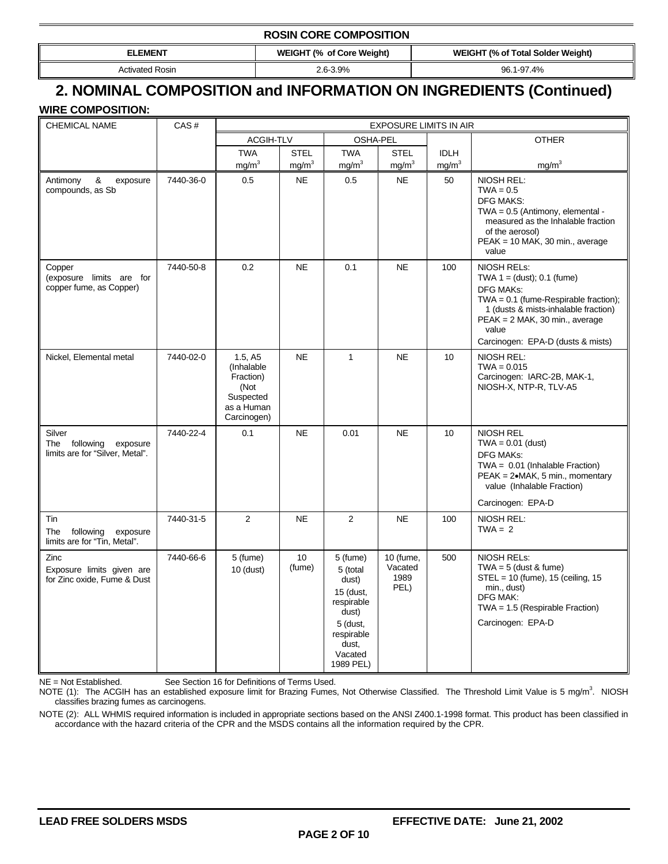#### **ROSIN CORE COMPOSITION**

Activated Rosin 2.6-3.9% 96.1-97.4%

**ELEMENT** WEIGHT (% of Core Weight) **WEIGHT (% of Total Solder Weight)** 

### **2. NOMINAL COMPOSITION and INFORMATION ON INGREDIENTS (Continued)**

**WIRE COMPOSITION:** 

| <b>CHEMICAL NAME</b>                                                      | CAS#      | EXPOSURE LIMITS IN AIR                                                               |                              |                                                                                                                              |                                      |                   |                                                                                                                                                                                                                                     |
|---------------------------------------------------------------------------|-----------|--------------------------------------------------------------------------------------|------------------------------|------------------------------------------------------------------------------------------------------------------------------|--------------------------------------|-------------------|-------------------------------------------------------------------------------------------------------------------------------------------------------------------------------------------------------------------------------------|
|                                                                           |           |                                                                                      | <b>ACGIH-TLV</b><br>OSHA-PEL |                                                                                                                              |                                      | <b>OTHER</b>      |                                                                                                                                                                                                                                     |
|                                                                           |           | <b>TWA</b>                                                                           | <b>STEL</b>                  | <b>TWA</b>                                                                                                                   | <b>STEL</b>                          | <b>IDLH</b>       |                                                                                                                                                                                                                                     |
|                                                                           |           | mg/m <sup>3</sup>                                                                    | mg/m <sup>3</sup>            | mg/m <sup>3</sup>                                                                                                            | mg/m <sup>3</sup>                    | mg/m <sup>3</sup> | mg/m <sup>3</sup>                                                                                                                                                                                                                   |
| &<br>Antimony<br>exposure<br>compounds, as Sb                             | 7440-36-0 | 0.5                                                                                  | <b>NE</b>                    | 0.5                                                                                                                          | <b>NE</b>                            | 50                | NIOSH REL:<br>$TWA = 0.5$<br><b>DFG MAKS:</b><br>$TWA = 0.5$ (Antimony, elemental -<br>measured as the Inhalable fraction<br>of the aerosol)<br>PEAK = 10 MAK, 30 min., average<br>value                                            |
| Copper<br>(exposure limits are for<br>copper fume, as Copper)             | 7440-50-8 | 0.2                                                                                  | <b>NE</b>                    | 0.1                                                                                                                          | <b>NE</b>                            | 100               | NIOSH RELs:<br>TWA $1 = (dust)$ ; 0.1 (fume)<br><b>DFG MAKs:</b><br>TWA = $0.1$ (fume-Respirable fraction);<br>1 (dusts & mists-inhalable fraction)<br>PEAK = 2 MAK, 30 min., average<br>value<br>Carcinogen: EPA-D (dusts & mists) |
| Nickel, Elemental metal                                                   | 7440-02-0 | 1.5, A5<br>(Inhalable<br>Fraction)<br>(Not<br>Suspected<br>as a Human<br>Carcinogen) | <b>NE</b>                    | $\mathbf{1}$                                                                                                                 | <b>NE</b>                            | 10                | NIOSH REL:<br>$TWA = 0.015$<br>Carcinogen: IARC-2B, MAK-1,<br>NIOSH-X, NTP-R, TLV-A5                                                                                                                                                |
| Silver<br>The<br>following<br>exposure<br>limits are for "Silver, Metal". | 7440-22-4 | 0.1                                                                                  | <b>NE</b>                    | 0.01                                                                                                                         | <b>NE</b>                            | 10                | <b>NIOSH REL</b><br>$TWA = 0.01$ (dust)<br><b>DFG MAKs:</b><br>TWA = $0.01$ (Inhalable Fraction)<br>PEAK = 2•MAK, 5 min., momentary<br>value (Inhalable Fraction)<br>Carcinogen: EPA-D                                              |
| Tin<br>The<br>following<br>exposure<br>limits are for "Tin, Metal".       | 7440-31-5 | $\overline{2}$                                                                       | <b>NE</b>                    | $\overline{2}$                                                                                                               | <b>NE</b>                            | 100               | NIOSH REL:<br>$TWA = 2$                                                                                                                                                                                                             |
| Zinc<br>Exposure limits given are<br>for Zinc oxide, Fume & Dust          | 7440-66-6 | 5 (fume)<br>$10$ (dust)                                                              | 10<br>(fume)                 | 5 (fume)<br>5 (total<br>dust)<br>15 (dust,<br>respirable<br>dust)<br>5 (dust,<br>respirable<br>dust.<br>Vacated<br>1989 PEL) | 10 (fume,<br>Vacated<br>1989<br>PEL) | 500               | <b>NIOSH RELS:</b><br>$TWA = 5$ (dust & fume)<br>$STEL = 10$ (fume), 15 (ceiling, 15<br>min., dust)<br><b>DFG MAK:</b><br>$TWA = 1.5$ (Respirable Fraction)<br>Carcinogen: EPA-D                                                    |

NE = Not Established. See Section 16 for Definitions of Terms Used.

NOTE (1): The ACGIH has an established exposure limit for Brazing Fumes, Not Otherwise Classified. The Threshold Limit Value is 5 mg/m<sup>3</sup>. NIOSH classifies brazing fumes as carcinogens.

NOTE (2): ALL WHMIS required information is included in appropriate sections based on the ANSI Z400.1-1998 format. This product has been classified in accordance with the hazard criteria of the CPR and the MSDS contains all the information required by the CPR.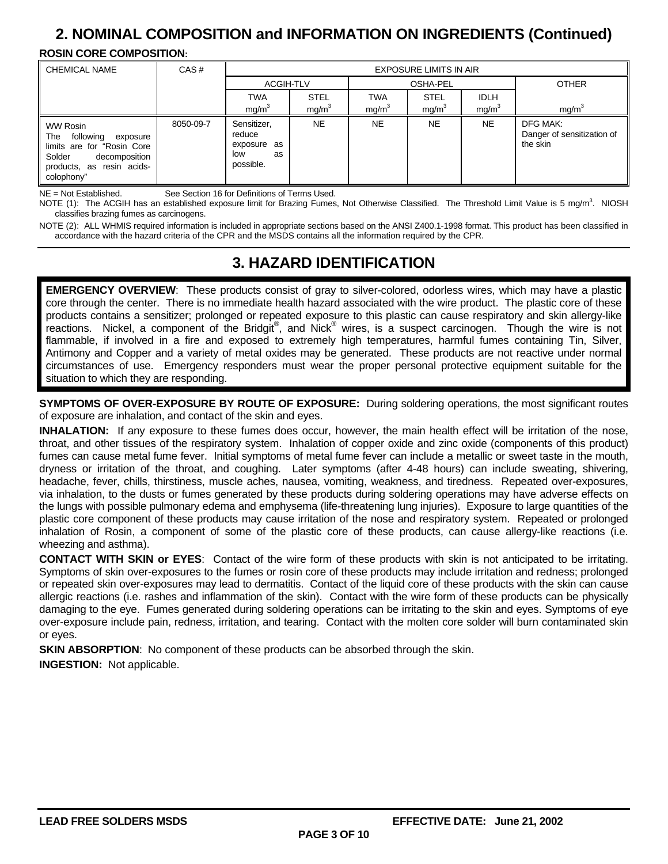## **2. NOMINAL COMPOSITION and INFORMATION ON INGREDIENTS (Continued)**

#### **ROSIN CORE COMPOSITION:**

| <b>CHEMICAL NAME</b>                                                                                                                          | CAS#      | <b>EXPOSURE LIMITS IN AIR</b>                                  |                   |                   |                   |                   |                                                    |
|-----------------------------------------------------------------------------------------------------------------------------------------------|-----------|----------------------------------------------------------------|-------------------|-------------------|-------------------|-------------------|----------------------------------------------------|
|                                                                                                                                               |           | ACGIH-TLV                                                      |                   | <b>OSHA-PEL</b>   |                   |                   | <b>OTHER</b>                                       |
|                                                                                                                                               |           | <b>TWA</b>                                                     | <b>STEL</b>       | <b>TWA</b>        | <b>STEL</b>       | <b>IDLH</b>       |                                                    |
|                                                                                                                                               |           | mg/m <sup>3</sup>                                              | mg/m <sup>3</sup> | mg/m <sup>3</sup> | mg/m <sup>3</sup> | mg/m <sup>3</sup> | mg/m <sup>3</sup>                                  |
| WW Rosin<br>following<br>The<br>exposure<br>limits are for "Rosin Core"<br>Solder<br>decomposition<br>products, as resin acids-<br>colophony" | 8050-09-7 | Sensitizer,<br>reduce<br>exposure as<br>low<br>as<br>possible. | NE                | <b>NE</b>         | <b>NE</b>         | <b>NE</b>         | DFG MAK:<br>Danger of sensitization of<br>the skin |

NE = Not Established. See Section 16 for Definitions of Terms Used.

NOTE (1): The ACGIH has an established exposure limit for Brazing Fumes, Not Otherwise Classified. The Threshold Limit Value is 5 mg/m<sup>3</sup>. NIOSH classifies brazing fumes as carcinogens.

NOTE (2): ALL WHMIS required information is included in appropriate sections based on the ANSI Z400.1-1998 format. This product has been classified in accordance with the hazard criteria of the CPR and the MSDS contains all the information required by the CPR.

### **3. HAZARD IDENTIFICATION**

**EMERGENCY OVERVIEW**: These products consist of gray to silver-colored, odorless wires, which may have a plastic core through the center. There is no immediate health hazard associated with the wire product. The plastic core of these products contains a sensitizer; prolonged or repeated exposure to this plastic can cause respiratory and skin allergy-like reactions. Nickel, a component of the Bridgit®, and Nick® wires, is a suspect carcinogen. Though the wire is not flammable, if involved in a fire and exposed to extremely high temperatures, harmful fumes containing Tin, Silver, Antimony and Copper and a variety of metal oxides may be generated. These products are not reactive under normal circumstances of use. Emergency responders must wear the proper personal protective equipment suitable for the situation to which they are responding.

**SYMPTOMS OF OVER-EXPOSURE BY ROUTE OF EXPOSURE:** During soldering operations, the most significant routes of exposure are inhalation, and contact of the skin and eyes.

**INHALATION:** If any exposure to these fumes does occur, however, the main health effect will be irritation of the nose, throat, and other tissues of the respiratory system. Inhalation of copper oxide and zinc oxide (components of this product) fumes can cause metal fume fever. Initial symptoms of metal fume fever can include a metallic or sweet taste in the mouth, dryness or irritation of the throat, and coughing. Later symptoms (after 4-48 hours) can include sweating, shivering, headache, fever, chills, thirstiness, muscle aches, nausea, vomiting, weakness, and tiredness. Repeated over-exposures, via inhalation, to the dusts or fumes generated by these products during soldering operations may have adverse effects on the lungs with possible pulmonary edema and emphysema (life-threatening lung injuries). Exposure to large quantities of the plastic core component of these products may cause irritation of the nose and respiratory system. Repeated or prolonged inhalation of Rosin, a component of some of the plastic core of these products, can cause allergy-like reactions (i.e. wheezing and asthma).

**CONTACT WITH SKIN or EYES**: Contact of the wire form of these products with skin is not anticipated to be irritating. Symptoms of skin over-exposures to the fumes or rosin core of these products may include irritation and redness; prolonged or repeated skin over-exposures may lead to dermatitis. Contact of the liquid core of these products with the skin can cause allergic reactions (i.e. rashes and inflammation of the skin). Contact with the wire form of these products can be physically damaging to the eye. Fumes generated during soldering operations can be irritating to the skin and eyes. Symptoms of eye over-exposure include pain, redness, irritation, and tearing. Contact with the molten core solder will burn contaminated skin or eyes.

**SKIN ABSORPTION:** No component of these products can be absorbed through the skin.

**INGESTION:** Not applicable.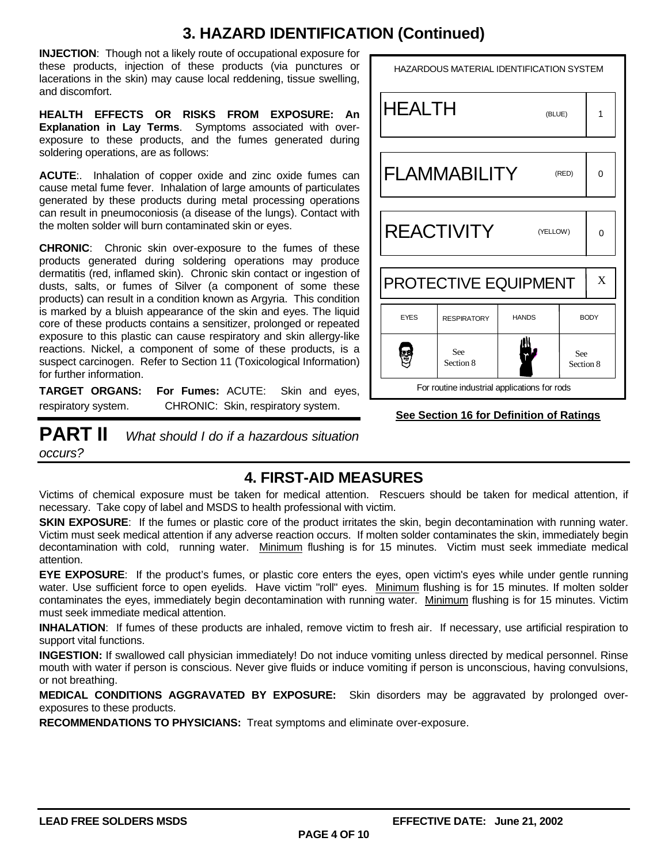## **3. HAZARD IDENTIFICATION (Continued)**

**INJECTION**: Though not a likely route of occupational exposure for these products, injection of these products (via punctures or lacerations in the skin) may cause local reddening, tissue swelling, and discomfort.

**HEALTH EFFECTS OR RISKS FROM EXPOSURE: An Explanation in Lay Terms**. Symptoms associated with overexposure to these products, and the fumes generated during soldering operations, are as follows:

**ACUTE**:. Inhalation of copper oxide and zinc oxide fumes can cause metal fume fever. Inhalation of large amounts of particulates generated by these products during metal processing operations can result in pneumoconiosis (a disease of the lungs). Contact with the molten solder will burn contaminated skin or eyes.

**CHRONIC**: Chronic skin over-exposure to the fumes of these products generated during soldering operations may produce dermatitis (red, inflamed skin). Chronic skin contact or ingestion of dusts, salts, or fumes of Silver (a component of some these products) can result in a condition known as Argyria. This condition is marked by a bluish appearance of the skin and eyes. The liquid core of these products contains a sensitizer, prolonged or repeated exposure to this plastic can cause respiratory and skin allergy-like reactions. Nickel, a component of some of these products, is a suspect carcinogen. Refer to Section 11 (Toxicological Information) for further information.

**TARGET ORGANS: For Fumes:** ACUTE: Skin and eyes, respiratory system. CHRONIC: Skin, respiratory system.

**PART II** *What should I do if a hazardous situation occurs?* 

### HAZARDOUS MATERIAL IDENTIFICATION SYSTEM HEALTH 1 (BLUE) FLAMMABILITY (RED) 0 **REACTIVITY** (YELLOW) 0 PROTECTIVE EQUIPMENT X EYES RESPIRATORY HANDS BODY Ş See See Section 8 Section 8 For routine industrial applications for rods

### **See Section 16 for Definition of Ratings**

### **4. FIRST-AID MEASURES**

Victims of chemical exposure must be taken for medical attention. Rescuers should be taken for medical attention, if necessary. Take copy of label and MSDS to health professional with victim.

**SKIN EXPOSURE:** If the fumes or plastic core of the product irritates the skin, begin decontamination with running water. Victim must seek medical attention if any adverse reaction occurs. If molten solder contaminates the skin, immediately begin decontamination with cold, running water. Minimum flushing is for 15 minutes. Victim must seek immediate medical attention.

**EYE EXPOSURE**: If the product's fumes, or plastic core enters the eyes, open victim's eyes while under gentle running water. Use sufficient force to open eyelids. Have victim "roll" eyes. Minimum flushing is for 15 minutes. If molten solder contaminates the eyes, immediately begin decontamination with running water. Minimum flushing is for 15 minutes. Victim must seek immediate medical attention.

**INHALATION**: If fumes of these products are inhaled, remove victim to fresh air. If necessary, use artificial respiration to support vital functions.

**INGESTION:** If swallowed call physician immediately! Do not induce vomiting unless directed by medical personnel. Rinse mouth with water if person is conscious. Never give fluids or induce vomiting if person is unconscious, having convulsions, or not breathing.

**MEDICAL CONDITIONS AGGRAVATED BY EXPOSURE:** Skin disorders may be aggravated by prolonged overexposures to these products.

**RECOMMENDATIONS TO PHYSICIANS:** Treat symptoms and eliminate over-exposure.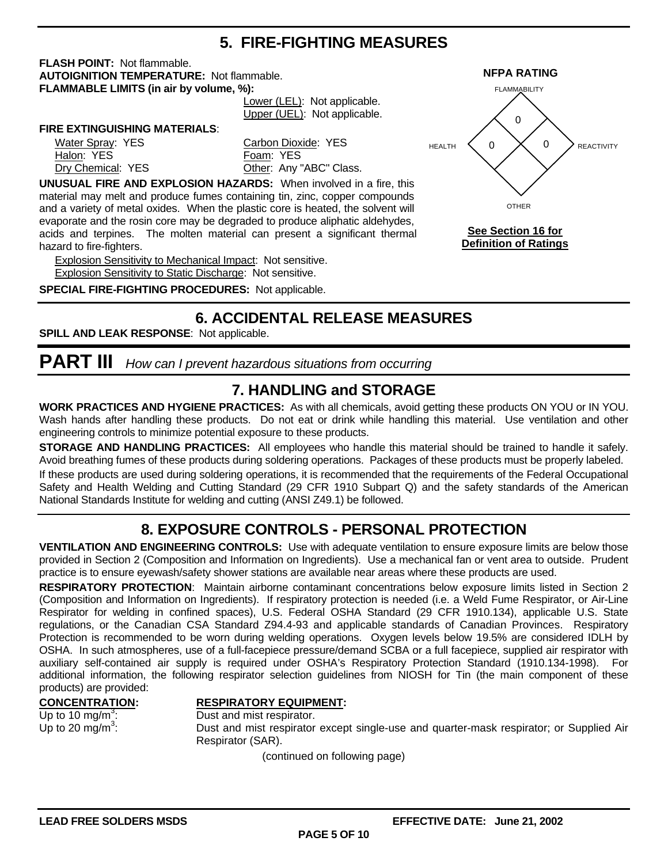### **5. FIRE-FIGHTING MEASURES**

**FLASH POINT:** Not flammable. **AUTOIGNITION TEMPERATURE:** Not flammable. **NFPA RATING FLAMMABLE LIMITS (in air by volume, %):**

 Lower (LEL): Not applicable. Upper (UEL): Not applicable.

#### **FIRE EXTINGUISHING MATERIALS**:

Halon: YES Foam: YES

Water Spray: YES Carbon Dioxide: YES Dry Chemical: YES **Other: Any "ABC" Class.** 

**UNUSUAL FIRE AND EXPLOSION HAZARDS:** When involved in a fire, this material may melt and produce fumes containing tin, zinc, copper compounds and a variety of metal oxides. When the plastic core is heated, the solvent will evaporate and the rosin core may be degraded to produce aliphatic aldehydes, acids and terpines. The molten material can present a significant thermal hazard to fire-fighters.

Explosion Sensitivity to Mechanical Impact: Not sensitive. Explosion Sensitivity to Static Discharge: Not sensitive.

**SPECIAL FIRE-FIGHTING PROCEDURES:** Not applicable.

### **6. ACCIDENTAL RELEASE MEASURES**

**SPILL AND LEAK RESPONSE**: Not applicable.

## **PART III** *How can I prevent hazardous situations from occurring*

### **7. HANDLING and STORAGE**

**WORK PRACTICES AND HYGIENE PRACTICES:** As with all chemicals, avoid getting these products ON YOU or IN YOU. Wash hands after handling these products. Do not eat or drink while handling this material. Use ventilation and other engineering controls to minimize potential exposure to these products.

**STORAGE AND HANDLING PRACTICES:** All employees who handle this material should be trained to handle it safely. Avoid breathing fumes of these products during soldering operations. Packages of these products must be properly labeled.

If these products are used during soldering operations, it is recommended that the requirements of the Federal Occupational Safety and Health Welding and Cutting Standard (29 CFR 1910 Subpart Q) and the safety standards of the American National Standards Institute for welding and cutting (ANSI Z49.1) be followed.

## **8. EXPOSURE CONTROLS - PERSONAL PROTECTION**

**VENTILATION AND ENGINEERING CONTROLS:** Use with adequate ventilation to ensure exposure limits are below those provided in Section 2 (Composition and Information on Ingredients). Use a mechanical fan or vent area to outside. Prudent practice is to ensure eyewash/safety shower stations are available near areas where these products are used.

**RESPIRATORY PROTECTION**: Maintain airborne contaminant concentrations below exposure limits listed in Section 2 (Composition and Information on Ingredients). If respiratory protection is needed (i.e. a Weld Fume Respirator, or Air-Line Respirator for welding in confined spaces), U.S. Federal OSHA Standard (29 CFR 1910.134), applicable U.S. State regulations, or the Canadian CSA Standard Z94.4-93 and applicable standards of Canadian Provinces. Respiratory Protection is recommended to be worn during welding operations. Oxygen levels below 19.5% are considered IDLH by OSHA. In such atmospheres, use of a full-facepiece pressure/demand SCBA or a full facepiece, supplied air respirator with auxiliary self-contained air supply is required under OSHA's Respiratory Protection Standard (1910.134-1998). For additional information, the following respirator selection guidelines from NIOSH for Tin (the main component of these products) are provided:

#### **CONCENTRATION: RESPIRATORY EQUIPMENT:**

Up to 10 mg/m<sup>3</sup>: Up to 20 mg/m<sup>3</sup>:

Dust and mist respirator. : Dust and mist respirator except single-use and quarter-mask respirator; or Supplied Air Respirator (SAR).

(continued on following page)



**See Section 16 for Definition of Ratings**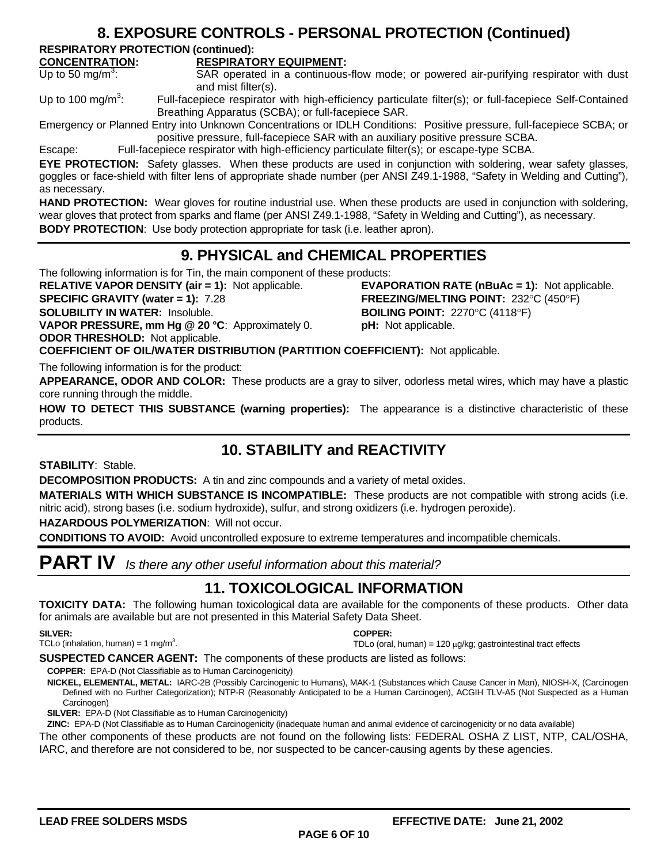### **8. EXPOSURE CONTROLS - PERSONAL PROTECTION (Continued)**

**RESPIRATORY PROTECTION (continued):**

#### **CONCENTRATION: RESPIRATORY EQUIPMENT:**

Up to 50 mg/m<sup>3</sup>:

SAR operated in a continuous-flow mode; or powered air-purifying respirator with dust and mist filter(s).

Up to 100 mg/m<sup>3</sup>: : Full-facepiece respirator with high-efficiency particulate filter(s); or full-facepiece Self-Contained Breathing Apparatus (SCBA); or full-facepiece SAR.

Emergency or Planned Entry into Unknown Concentrations or IDLH Conditions: Positive pressure, full-facepiece SCBA; or positive pressure, full-facepiece SAR with an auxiliary positive pressure SCBA.

Escape: Full-facepiece respirator with high-efficiency particulate filter(s); or escape-type SCBA.

**EYE PROTECTION:** Safety glasses. When these products are used in conjunction with soldering, wear safety glasses, goggles or face-shield with filter lens of appropriate shade number (per ANSI Z49.1-1988, "Safety in Welding and Cutting"), as necessary.

HAND PROTECTION: Wear gloves for routine industrial use. When these products are used in conjunction with soldering, wear gloves that protect from sparks and flame (per ANSI Z49.1-1988, "Safety in Welding and Cutting"), as necessary. **BODY PROTECTION:** Use body protection appropriate for task (i.e. leather apron).

### **9. PHYSICAL and CHEMICAL PROPERTIES**

The following information is for Tin, the main component of these products:

**RELATIVE VAPOR DENSITY (air = 1):** Not applicable. **EVAPORATION RATE (nBuAc = 1):** Not applicable. **SPECIFIC GRAVITY (water = 1):** 7.28 **FREEZING/MELTING POINT:** 232°C (450°F) **SOLUBILITY IN WATER:** Insoluble. **BOILING POINT:** 2270°C (4118°F) **VAPOR PRESSURE, mm Hg @ 20 °C**: Approximately 0. **pH:** Not applicable. **ODOR THRESHOLD:** Not applicable.

**COEFFICIENT OF OIL/WATER DISTRIBUTION (PARTITION COEFFICIENT):** Not applicable. The following information is for the product:

**APPEARANCE, ODOR AND COLOR:** These products are a gray to silver, odorless metal wires, which may have a plastic core running through the middle.

**HOW TO DETECT THIS SUBSTANCE (warning properties):** The appearance is a distinctive characteristic of these products.

### **10. STABILITY and REACTIVITY**

**STABILITY**: Stable.

**DECOMPOSITION PRODUCTS:** A tin and zinc compounds and a variety of metal oxides.

**MATERIALS WITH WHICH SUBSTANCE IS INCOMPATIBLE:** These products are not compatible with strong acids (i.e. nitric acid), strong bases (i.e. sodium hydroxide), sulfur, and strong oxidizers (i.e. hydrogen peroxide).

**HAZARDOUS POLYMERIZATION**: Will not occur.

**CONDITIONS TO AVOID:** Avoid uncontrolled exposure to extreme temperatures and incompatible chemicals.

**PART IV** *Is there any other useful information about this material?*

### **11. TOXICOLOGICAL INFORMATION**

**TOXICITY DATA:** The following human toxicological data are available for the components of these products. Other data for animals are available but are not presented in this Material Safety Data Sheet.

#### **SILVER:**

TCLo (inhalation, human) = 1 mg/m<sup>3</sup>.

#### **COPPER:**

TDLo (oral, human) =  $120 \mu g/kg$ ; gastrointestinal tract effects

**SUSPECTED CANCER AGENT:** The components of these products are listed as follows:

**COPPER:** EPA-D (Not Classifiable as to Human Carcinogenicity)

**NICKEL, ELEMENTAL, METAL:** IARC-2B (Possibly Carcinogenic to Humans), MAK-1 (Substances which Cause Cancer in Man), NIOSH-X, (Carcinogen Defined with no Further Categorization); NTP-R (Reasonably Anticipated to be a Human Carcinogen), ACGIH TLV-A5 (Not Suspected as a Human Carcinogen)

**SILVER:** EPA-D (Not Classifiable as to Human Carcinogenicity)

**ZINC:** EPA-D (Not Classifiable as to Human Carcinogenicity (inadequate human and animal evidence of carcinogenicity or no data available)

The other components of these products are not found on the following lists: FEDERAL OSHA Z LIST, NTP, CAL/OSHA, IARC, and therefore are not considered to be, nor suspected to be cancer-causing agents by these agencies.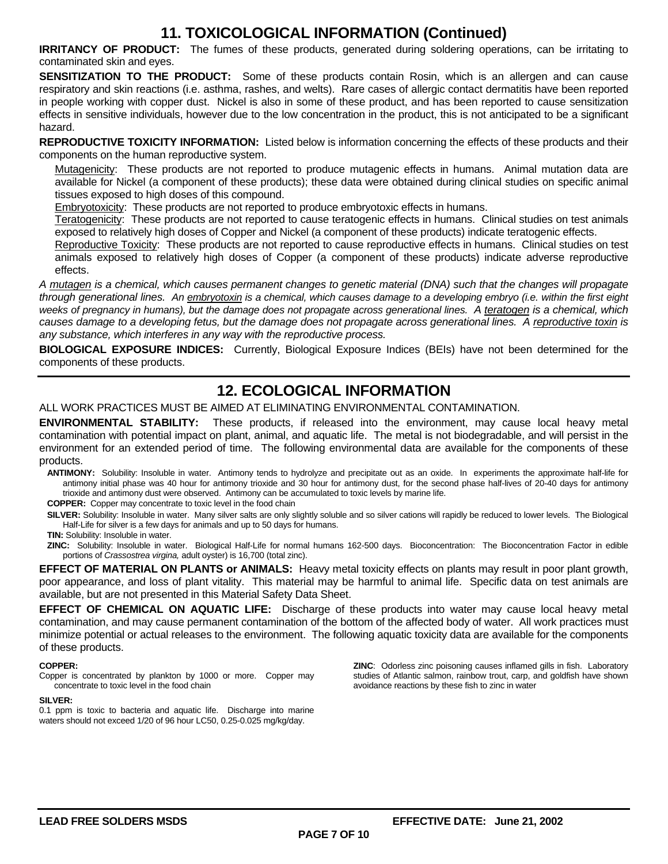### **11. TOXICOLOGICAL INFORMATION (Continued)**

**IRRITANCY OF PRODUCT:** The fumes of these products, generated during soldering operations, can be irritating to contaminated skin and eyes.

**SENSITIZATION TO THE PRODUCT:** Some of these products contain Rosin, which is an allergen and can cause respiratory and skin reactions (i.e. asthma, rashes, and welts). Rare cases of allergic contact dermatitis have been reported in people working with copper dust. Nickel is also in some of these product, and has been reported to cause sensitization effects in sensitive individuals, however due to the low concentration in the product, this is not anticipated to be a significant hazard.

**REPRODUCTIVE TOXICITY INFORMATION:** Listed below is information concerning the effects of these products and their components on the human reproductive system.

Mutagenicity: These products are not reported to produce mutagenic effects in humans. Animal mutation data are available for Nickel (a component of these products); these data were obtained during clinical studies on specific animal tissues exposed to high doses of this compound.

Embryotoxicity: These products are not reported to produce embryotoxic effects in humans.

Teratogenicity: These products are not reported to cause teratogenic effects in humans. Clinical studies on test animals exposed to relatively high doses of Copper and Nickel (a component of these products) indicate teratogenic effects.

Reproductive Toxicity: These products are not reported to cause reproductive effects in humans. Clinical studies on test animals exposed to relatively high doses of Copper (a component of these products) indicate adverse reproductive effects.

*A mutagen is a chemical, which causes permanent changes to genetic material (DNA) such that the changes will propagate through generational lines. An embryotoxin is a chemical, which causes damage to a developing embryo (i.e. within the first eight weeks of pregnancy in humans), but the damage does not propagate across generational lines. A teratogen is a chemical, which causes damage to a developing fetus, but the damage does not propagate across generational lines. A reproductive toxin is any substance, which interferes in any way with the reproductive process.*

**BIOLOGICAL EXPOSURE INDICES:** Currently, Biological Exposure Indices (BEIs) have not been determined for the components of these products.

### **12. ECOLOGICAL INFORMATION**

ALL WORK PRACTICES MUST BE AIMED AT ELIMINATING ENVIRONMENTAL CONTAMINATION.

**ENVIRONMENTAL STABILITY:** These products, if released into the environment, may cause local heavy metal contamination with potential impact on plant, animal, and aquatic life. The metal is not biodegradable, and will persist in the environment for an extended period of time. The following environmental data are available for the components of these products.

**ANTIMONY:** Solubility: Insoluble in water. Antimony tends to hydrolyze and precipitate out as an oxide. In experiments the approximate half-life for antimony initial phase was 40 hour for antimony trioxide and 30 hour for antimony dust, for the second phase half-lives of 20-40 days for antimony trioxide and antimony dust were observed. Antimony can be accumulated to toxic levels by marine life.

**COPPER:** Copper may concentrate to toxic level in the food chain

SILVER: Solubility: Insoluble in water. Many silver salts are only slightly soluble and so silver cations will rapidly be reduced to lower levels. The Biological Half-Life for silver is a few days for animals and up to 50 days for humans.

**TIN:** Solubility: Insoluble in water.

**ZINC:** Solubility: Insoluble in water. Biological Half-Life for normal humans 162-500 days. Bioconcentration: The Bioconcentration Factor in edible portions of *Crassostrea virgina,* adult oyster) is 16,700 (total zinc).

**EFFECT OF MATERIAL ON PLANTS or ANIMALS:** Heavy metal toxicity effects on plants may result in poor plant growth, poor appearance, and loss of plant vitality. This material may be harmful to animal life. Specific data on test animals are available, but are not presented in this Material Safety Data Sheet.

**EFFECT OF CHEMICAL ON AQUATIC LIFE:** Discharge of these products into water may cause local heavy metal contamination, and may cause permanent contamination of the bottom of the affected body of water. All work practices must minimize potential or actual releases to the environment. The following aquatic toxicity data are available for the components of these products.

#### **COPPER:**

Copper is concentrated by plankton by 1000 or more. Copper may concentrate to toxic level in the food chain

#### **SILVER:**

0.1 ppm is toxic to bacteria and aquatic life. Discharge into marine waters should not exceed 1/20 of 96 hour LC50, 0.25-0.025 mg/kg/day.

**ZINC**: Odorless zinc poisoning causes inflamed gills in fish. Laboratory studies of Atlantic salmon, rainbow trout, carp, and goldfish have shown avoidance reactions by these fish to zinc in water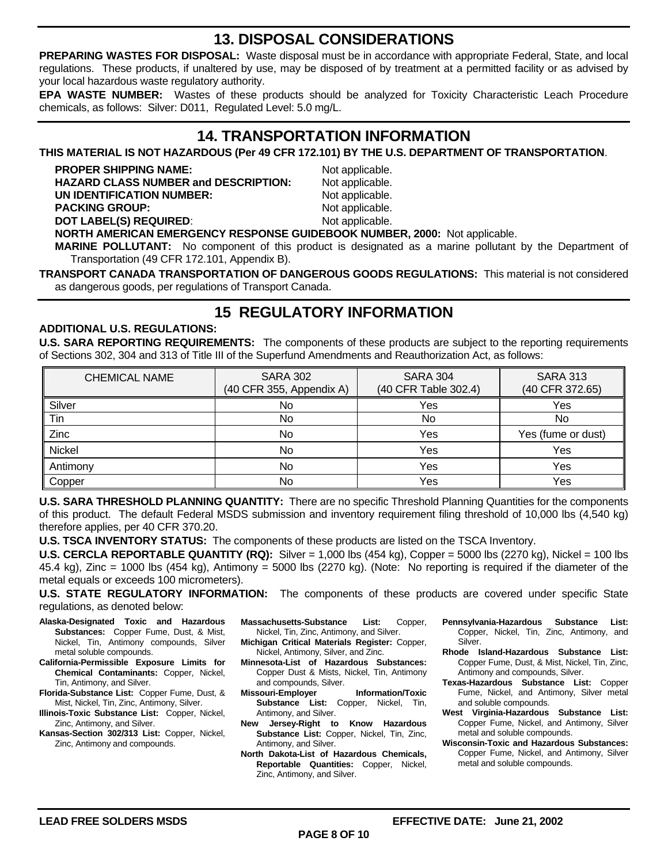### **13. DISPOSAL CONSIDERATIONS**

**PREPARING WASTES FOR DISPOSAL:** Waste disposal must be in accordance with appropriate Federal, State, and local regulations. These products, if unaltered by use, may be disposed of by treatment at a permitted facility or as advised by your local hazardous waste regulatory authority.

**EPA WASTE NUMBER:** Wastes of these products should be analyzed for Toxicity Characteristic Leach Procedure chemicals, as follows: Silver: D011, Regulated Level: 5.0 mg/L.

### **14. TRANSPORTATION INFORMATION**

**THIS MATERIAL IS NOT HAZARDOUS (Per 49 CFR 172.101) BY THE U.S. DEPARTMENT OF TRANSPORTATION**.

**PROPER SHIPPING NAME:** Not applicable. HAZARD CLASS NUMBER and DESCRIPTION: Not applicable. **UN IDENTIFICATION NUMBER:** Not applicable. **PACKING GROUP:** Not applicable. **DOT LABEL(S) REQUIRED:** Not applicable.

**NORTH AMERICAN EMERGENCY RESPONSE GUIDEBOOK NUMBER, 2000:** Not applicable.

**MARINE POLLUTANT:** No component of this product is designated as a marine pollutant by the Department of Transportation (49 CFR 172.101, Appendix B).

**TRANSPORT CANADA TRANSPORTATION OF DANGEROUS GOODS REGULATIONS:** This material is not considered as dangerous goods, per regulations of Transport Canada.

### **15 REGULATORY INFORMATION**

#### **ADDITIONAL U.S. REGULATIONS:**

**U.S. SARA REPORTING REQUIREMENTS:** The components of these products are subject to the reporting requirements of Sections 302, 304 and 313 of Title III of the Superfund Amendments and Reauthorization Act, as follows:

| <b>CHEMICAL NAME</b> | <b>SARA 302</b><br>(40 CFR 355, Appendix A) | <b>SARA 304</b><br>(40 CFR Table 302.4) | <b>SARA 313</b><br>(40 CFR 372.65) |
|----------------------|---------------------------------------------|-----------------------------------------|------------------------------------|
| Silver               | No                                          | Yes                                     | Yes                                |
| Tin                  | No                                          | No                                      | No                                 |
| Zinc                 | No                                          | Yes                                     | Yes (fume or dust)                 |
| Nickel               | No                                          | Yes                                     | Yes                                |
| Antimony             | No                                          | Yes                                     | Yes                                |
| Copper               | No                                          | Yes                                     | Yes                                |

**U.S. SARA THRESHOLD PLANNING QUANTITY:** There are no specific Threshold Planning Quantities for the components of this product. The default Federal MSDS submission and inventory requirement filing threshold of 10,000 lbs (4,540 kg) therefore applies, per 40 CFR 370.20.

**U.S. TSCA INVENTORY STATUS:** The components of these products are listed on the TSCA Inventory.

**U.S. CERCLA REPORTABLE QUANTITY (RQ):** Silver = 1,000 lbs (454 kg), Copper = 5000 lbs (2270 kg), Nickel = 100 lbs 45.4 kg), Zinc = 1000 lbs (454 kg), Antimony = 5000 lbs (2270 kg). (Note: No reporting is required if the diameter of the metal equals or exceeds 100 micrometers).

**U.S. STATE REGULATORY INFORMATION:** The components of these products are covered under specific State regulations, as denoted below:

- **Alaska-Designated Toxic and Hazardous Substances:** Copper Fume, Dust, & Mist, Nickel, Tin, Antimony compounds, Silver metal soluble compounds.
- **California-Permissible Exposure Limits for Chemical Contaminants:** Copper, Nickel, Tin, Antimony, and Silver.
- **Florida-Substance List:** Copper Fume, Dust, & Mist, Nickel, Tin, Zinc, Antimony, Silver.
- **Illinois-Toxic Substance List:** Copper, Nickel, Zinc, Antimony, and Silver.
- **Kansas-Section 302/313 List:** Copper, Nickel, Zinc, Antimony and compounds.
- **Massachusetts-Substance List:** Copper, Nickel, Tin, Zinc, Antimony, and Silver.
- **Michigan Critical Materials Register:** Copper, Nickel, Antimony, Silver, and Zinc.
- **Minnesota-List of Hazardous Substances:** Copper Dust & Mists, Nickel, Tin, Antimony and compounds, Silver.
- **Missouri-Employer Information/Toxic Substance List:** Copper, Nickel, Tin, Antimony, and Silver.
- **New Jersey-Right to Know Hazardous Substance List:** Copper, Nickel, Tin, Zinc, Antimony, and Silver.
- **North Dakota-List of Hazardous Chemicals, Reportable Quantities:** Copper, Nickel, Zinc, Antimony, and Silver.
- **Pennsylvania-Hazardous Substance List:** Copper, Nickel, Tin, Zinc, Antimony, and Silver.
- **Rhode Island-Hazardous Substance List:** Copper Fume, Dust, & Mist, Nickel, Tin, Zinc, Antimony and compounds, Silver.
- **Texas-Hazardous Substance List:** Copper Fume, Nickel, and Antimony, Silver metal and soluble compounds.
- **West Virginia-Hazardous Substance List:** Copper Fume, Nickel, and Antimony, Silver metal and soluble compounds.
- **Wisconsin-Toxic and Hazardous Substances:** Copper Fume, Nickel, and Antimony, Silver metal and soluble compounds.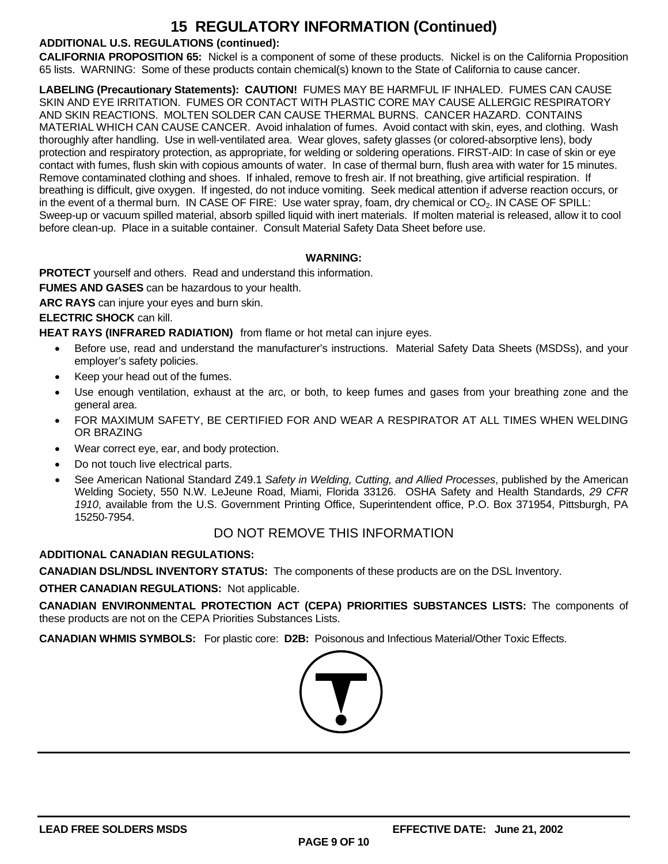### **15 REGULATORY INFORMATION (Continued)**

#### **ADDITIONAL U.S. REGULATIONS (continued):**

**CALIFORNIA PROPOSITION 65:** Nickel is a component of some of these products. Nickel is on the California Proposition 65 lists. WARNING: Some of these products contain chemical(s) known to the State of California to cause cancer.

**LABELING (Precautionary Statements): CAUTION!** FUMES MAY BE HARMFUL IF INHALED. FUMES CAN CAUSE SKIN AND EYE IRRITATION. FUMES OR CONTACT WITH PLASTIC CORE MAY CAUSE ALLERGIC RESPIRATORY AND SKIN REACTIONS. MOLTEN SOLDER CAN CAUSE THERMAL BURNS. CANCER HAZARD. CONTAINS MATERIAL WHICH CAN CAUSE CANCER. Avoid inhalation of fumes. Avoid contact with skin, eyes, and clothing. Wash thoroughly after handling. Use in well-ventilated area. Wear gloves, safety glasses (or colored-absorptive lens), body protection and respiratory protection, as appropriate, for welding or soldering operations. FIRST-AID: In case of skin or eye contact with fumes, flush skin with copious amounts of water. In case of thermal burn, flush area with water for 15 minutes. Remove contaminated clothing and shoes. If inhaled, remove to fresh air. If not breathing, give artificial respiration. If breathing is difficult, give oxygen. If ingested, do not induce vomiting. Seek medical attention if adverse reaction occurs, or in the event of a thermal burn. IN CASE OF FIRE: Use water spray, foam, dry chemical or  $CO<sub>2</sub>$ . IN CASE OF SPILL: Sweep-up or vacuum spilled material, absorb spilled liquid with inert materials. If molten material is released, allow it to cool before clean-up. Place in a suitable container. Consult Material Safety Data Sheet before use.

#### **WARNING:**

**PROTECT** yourself and others. Read and understand this information.

**FUMES AND GASES** can be hazardous to your health.

**ARC RAYS** can injure your eyes and burn skin.

#### **ELECTRIC SHOCK** can kill.

**HEAT RAYS (INFRARED RADIATION)** from flame or hot metal can injure eyes.

- Before use, read and understand the manufacturer's instructions. Material Safety Data Sheets (MSDSs), and your employer's safety policies.
- Keep your head out of the fumes.
- Use enough ventilation, exhaust at the arc, or both, to keep fumes and gases from your breathing zone and the general area.
- FOR MAXIMUM SAFETY, BE CERTIFIED FOR AND WEAR A RESPIRATOR AT ALL TIMES WHEN WELDING OR BRAZING
- Wear correct eye, ear, and body protection.
- Do not touch live electrical parts.
- See American National Standard Z49.1 *Safety in Welding, Cutting, and Allied Processes*, published by the American Welding Society, 550 N.W. LeJeune Road, Miami, Florida 33126. OSHA Safety and Health Standards, *29 CFR 1910*, available from the U.S. Government Printing Office, Superintendent office, P.O. Box 371954, Pittsburgh, PA 15250-7954.

### DO NOT REMOVE THIS INFORMATION

#### **ADDITIONAL CANADIAN REGULATIONS:**

**CANADIAN DSL/NDSL INVENTORY STATUS:** The components of these products are on the DSL Inventory.

**OTHER CANADIAN REGULATIONS:** Not applicable.

**CANADIAN ENVIRONMENTAL PROTECTION ACT (CEPA) PRIORITIES SUBSTANCES LISTS:** The components of these products are not on the CEPA Priorities Substances Lists.

**CANADIAN WHMIS SYMBOLS:** For plastic core: **D2B:** Poisonous and Infectious Material/Other Toxic Effects.